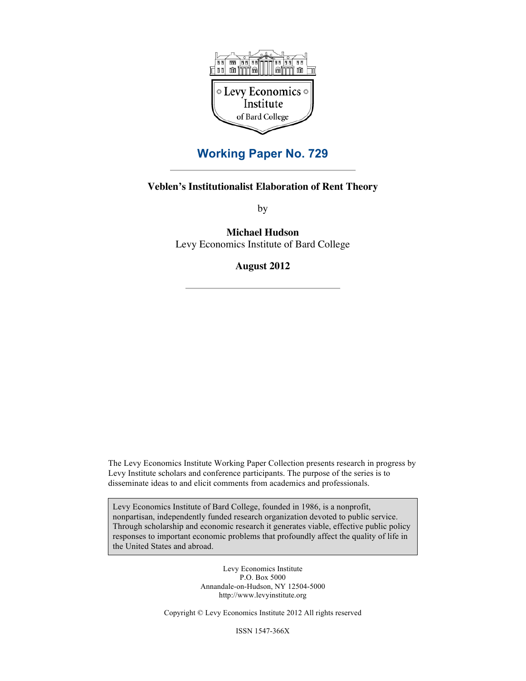

# **Working Paper No. 729**

### **Veblen's Institutionalist Elaboration of Rent Theory**

by

**Michael Hudson** Levy Economics Institute of Bard College

#### **August 2012**

The Levy Economics Institute Working Paper Collection presents research in progress by Levy Institute scholars and conference participants. The purpose of the series is to disseminate ideas to and elicit comments from academics and professionals.

Levy Economics Institute of Bard College, founded in 1986, is a nonprofit, nonpartisan, independently funded research organization devoted to public service. Through scholarship and economic research it generates viable, effective public policy responses to important economic problems that profoundly affect the quality of life in the United States and abroad.

> Levy Economics Institute P.O. Box 5000 Annandale-on-Hudson, NY 12504-5000 http://www.levyinstitute.org

Copyright © Levy Economics Institute 2012 All rights reserved

ISSN 1547-366X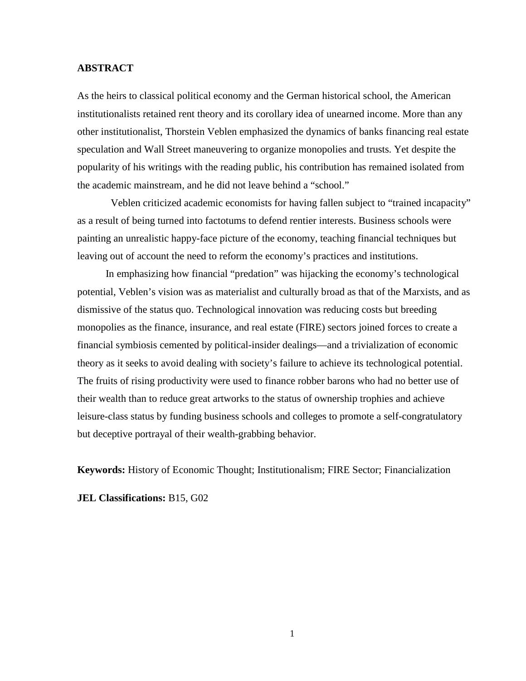#### **ABSTRACT**

As the heirs to classical political economy and the German historical school, the American institutionalists retained rent theory and its corollary idea of unearned income. More than any other institutionalist, Thorstein Veblen emphasized the dynamics of banks financing real estate speculation and Wall Street maneuvering to organize monopolies and trusts. Yet despite the popularity of his writings with the reading public, his contribution has remained isolated from the academic mainstream, and he did not leave behind a "school."

 Veblen criticized academic economists for having fallen subject to "trained incapacity" as a result of being turned into factotums to defend rentier interests. Business schools were painting an unrealistic happy-face picture of the economy, teaching financial techniques but leaving out of account the need to reform the economy's practices and institutions.

 In emphasizing how financial "predation" was hijacking the economy's technological potential, Veblen's vision was as materialist and culturally broad as that of the Marxists, and as dismissive of the status quo. Technological innovation was reducing costs but breeding monopolies as the finance, insurance, and real estate (FIRE) sectors joined forces to create a financial symbiosis cemented by political-insider dealings—and a trivialization of economic theory as it seeks to avoid dealing with society's failure to achieve its technological potential. The fruits of rising productivity were used to finance robber barons who had no better use of their wealth than to reduce great artworks to the status of ownership trophies and achieve leisure-class status by funding business schools and colleges to promote a self-congratulatory but deceptive portrayal of their wealth-grabbing behavior.

**Keywords:** History of Economic Thought; Institutionalism; FIRE Sector; Financialization

**JEL Classifications:** B15, G02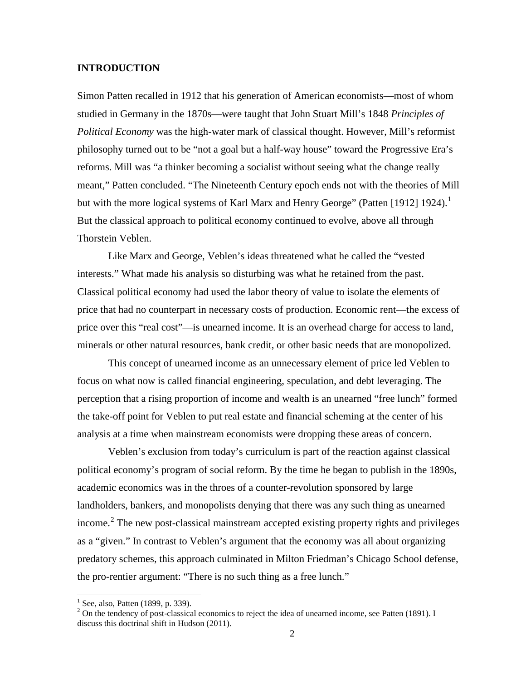#### **INTRODUCTION**

Simon Patten recalled in 1912 that his generation of American economists—most of whom studied in Germany in the 1870s—were taught that John Stuart Mill's 1848 *Principles of Political Economy* was the high-water mark of classical thought. However, Mill's reformist philosophy turned out to be "not a goal but a half-way house" toward the Progressive Era's reforms. Mill was "a thinker becoming a socialist without seeing what the change really meant," Patten concluded. "The Nineteenth Century epoch ends not with the theories of Mill but with the more logical systems of Karl Marx and Henry George" (Patten [[1](#page-2-0)912] 1924).<sup>1</sup> But the classical approach to political economy continued to evolve, above all through Thorstein Veblen.

Like Marx and George, Veblen's ideas threatened what he called the "vested interests." What made his analysis so disturbing was what he retained from the past. Classical political economy had used the labor theory of value to isolate the elements of price that had no counterpart in necessary costs of production. Economic rent—the excess of price over this "real cost"—is unearned income. It is an overhead charge for access to land, minerals or other natural resources, bank credit, or other basic needs that are monopolized.

This concept of unearned income as an unnecessary element of price led Veblen to focus on what now is called financial engineering, speculation, and debt leveraging. The perception that a rising proportion of income and wealth is an unearned "free lunch" formed the take-off point for Veblen to put real estate and financial scheming at the center of his analysis at a time when mainstream economists were dropping these areas of concern.

Veblen's exclusion from today's curriculum is part of the reaction against classical political economy's program of social reform. By the time he began to publish in the 1890s, academic economics was in the throes of a counter-revolution sponsored by large landholders, bankers, and monopolists denying that there was any such thing as unearned income.<sup>[2](#page-2-1)</sup> The new post-classical mainstream accepted existing property rights and privileges as a "given." In contrast to Veblen's argument that the economy was all about organizing predatory schemes, this approach culminated in Milton Friedman's Chicago School defense, the pro-rentier argument: "There is no such thing as a free lunch."

 $<sup>1</sup>$  See, also, Patten (1899, p. 339).</sup>

<span id="page-2-1"></span><span id="page-2-0"></span><sup>&</sup>lt;sup>2</sup> On the tendency of post-classical economics to reject the idea of unearned income, see Patten (1891). I discuss this doctrinal shift in Hudson (2011).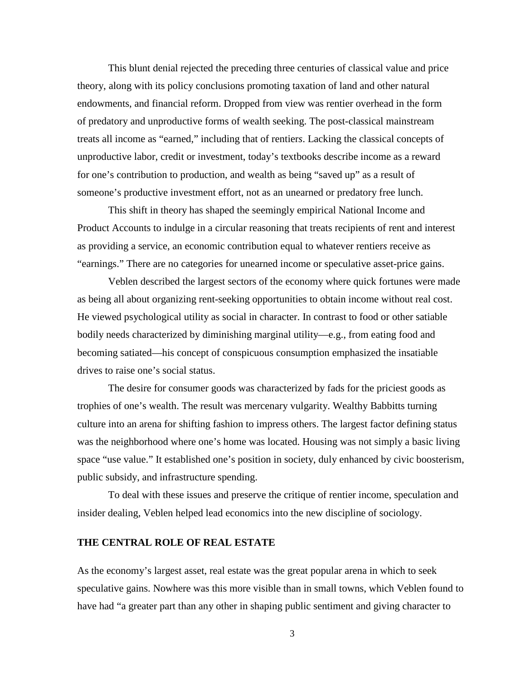This blunt denial rejected the preceding three centuries of classical value and price theory, along with its policy conclusions promoting taxation of land and other natural endowments, and financial reform. Dropped from view was rentier overhead in the form of predatory and unproductive forms of wealth seeking. The post-classical mainstream treats all income as "earned," including that of rentier*s*. Lacking the classical concepts of unproductive labor, credit or investment, today's textbooks describe income as a reward for one's contribution to production, and wealth as being "saved up" as a result of someone's productive investment effort, not as an unearned or predatory free lunch.

This shift in theory has shaped the seemingly empirical National Income and Product Accounts to indulge in a circular reasoning that treats recipients of rent and interest as providing a service, an economic contribution equal to whatever rentier*s* receive as "earnings." There are no categories for unearned income or speculative asset-price gains.

Veblen described the largest sectors of the economy where quick fortunes were made as being all about organizing rent-seeking opportunities to obtain income without real cost. He viewed psychological utility as social in character. In contrast to food or other satiable bodily needs characterized by diminishing marginal utility—e.g., from eating food and becoming satiated—his concept of conspicuous consumption emphasized the insatiable drives to raise one's social status.

The desire for consumer goods was characterized by fads for the priciest goods as trophies of one's wealth. The result was mercenary vulgarity. Wealthy Babbitts turning culture into an arena for shifting fashion to impress others. The largest factor defining status was the neighborhood where one's home was located. Housing was not simply a basic living space "use value." It established one's position in society, duly enhanced by civic boosterism, public subsidy, and infrastructure spending.

To deal with these issues and preserve the critique of rentier income, speculation and insider dealing, Veblen helped lead economics into the new discipline of sociology.

#### **THE CENTRAL ROLE OF REAL ESTATE**

As the economy's largest asset, real estate was the great popular arena in which to seek speculative gains. Nowhere was this more visible than in small towns, which Veblen found to have had "a greater part than any other in shaping public sentiment and giving character to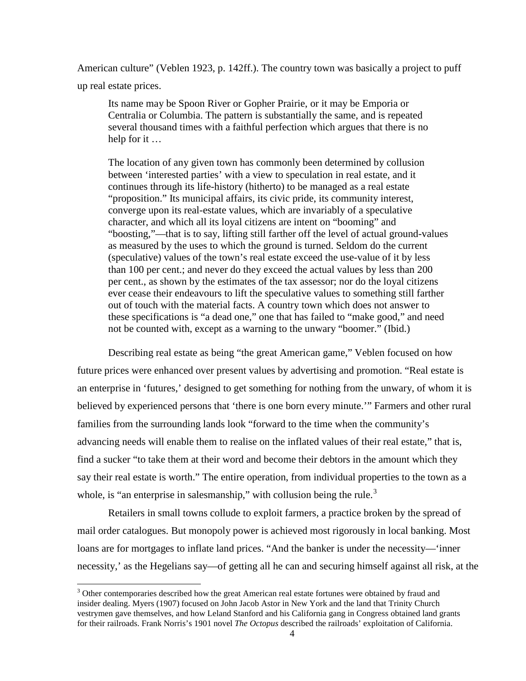American culture" (Veblen 1923, p. 142ff.). The country town was basically a project to puff up real estate prices.

Its name may be Spoon River or Gopher Prairie, or it may be Emporia or Centralia or Columbia. The pattern is substantially the same, and is repeated several thousand times with a faithful perfection which argues that there is no help for it …

The location of any given town has commonly been determined by collusion between 'interested parties' with a view to speculation in real estate, and it continues through its life-history (hitherto) to be managed as a real estate "proposition." Its municipal affairs, its civic pride, its community interest, converge upon its real-estate values, which are invariably of a speculative character, and which all its loyal citizens are intent on "booming" and "boosting,"—that is to say, lifting still farther off the level of actual ground-values as measured by the uses to which the ground is turned. Seldom do the current (speculative) values of the town's real estate exceed the use-value of it by less than 100 per cent.; and never do they exceed the actual values by less than 200 per cent., as shown by the estimates of the tax assessor; nor do the loyal citizens ever cease their endeavours to lift the speculative values to something still farther out of touch with the material facts. A country town which does not answer to these specifications is "a dead one," one that has failed to "make good," and need not be counted with, except as a warning to the unwary "boomer." (Ibid.)

Describing real estate as being "the great American game," Veblen focused on how future prices were enhanced over present values by advertising and promotion. "Real estate is an enterprise in 'futures,' designed to get something for nothing from the unwary, of whom it is believed by experienced persons that 'there is one born every minute.'" Farmers and other rural families from the surrounding lands look "forward to the time when the community's advancing needs will enable them to realise on the inflated values of their real estate," that is, find a sucker "to take them at their word and become their debtors in the amount which they say their real estate is worth." The entire operation, from individual properties to the town as a whole, is "an enterprise in salesmanship," with collusion being the rule. $3$ 

Retailers in small towns collude to exploit farmers, a practice broken by the spread of mail order catalogues. But monopoly power is achieved most rigorously in local banking. Most loans are for mortgages to inflate land prices. "And the banker is under the necessity—'inner necessity,' as the Hegelians say—of getting all he can and securing himself against all risk, at the

<span id="page-4-0"></span><sup>&</sup>lt;sup>3</sup> Other contemporaries described how the great American real estate fortunes were obtained by fraud and insider dealing. Myers (1907) focused on John Jacob Astor in New York and the land that Trinity Church vestrymen gave themselves, and how Leland Stanford and his California gang in Congress obtained land grants for their railroads. Frank Norris's 1901 novel *The Octopus* described the railroads' exploitation of California.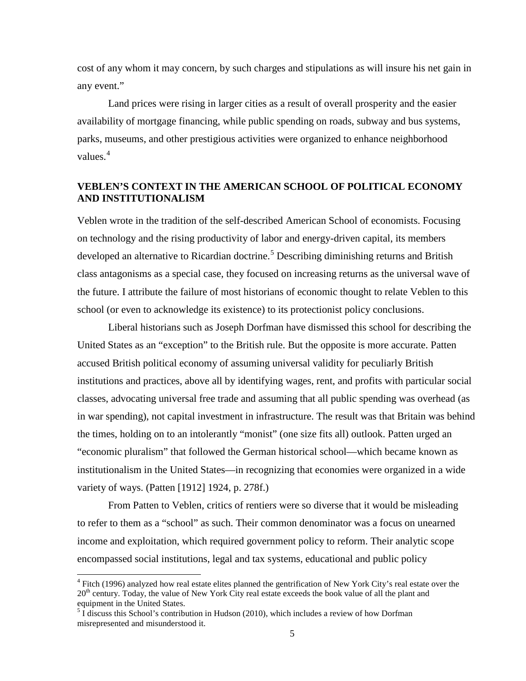cost of any whom it may concern, by such charges and stipulations as will insure his net gain in any event."

Land prices were rising in larger cities as a result of overall prosperity and the easier availability of mortgage financing, while public spending on roads, subway and bus systems, parks, museums, and other prestigious activities were organized to enhance neighborhood values. $4$ 

### **VEBLEN'S CONTEXT IN THE AMERICAN SCHOOL OF POLITICAL ECONOMY AND INSTITUTIONALISM**

Veblen wrote in the tradition of the self-described American School of economists. Focusing on technology and the rising productivity of labor and energy-driven capital, its members developed an alternative to Ricardian doctrine.<sup>[5](#page-5-1)</sup> Describing diminishing returns and British class antagonisms as a special case, they focused on increasing returns as the universal wave of the future. I attribute the failure of most historians of economic thought to relate Veblen to this school (or even to acknowledge its existence) to its protectionist policy conclusions.

Liberal historians such as Joseph Dorfman have dismissed this school for describing the United States as an "exception" to the British rule. But the opposite is more accurate. Patten accused British political economy of assuming universal validity for peculiarly British institutions and practices, above all by identifying wages, rent, and profits with particular social classes, advocating universal free trade and assuming that all public spending was overhead (as in war spending), not capital investment in infrastructure. The result was that Britain was behind the times, holding on to an intolerantly "monist" (one size fits all) outlook. Patten urged an "economic pluralism" that followed the German historical school—which became known as institutionalism in the United States—in recognizing that economies were organized in a wide variety of ways. (Patten [1912] 1924, p. 278f.)

From Patten to Veblen, critics of rentier*s* were so diverse that it would be misleading to refer to them as a "school" as such. Their common denominator was a focus on unearned income and exploitation, which required government policy to reform. Their analytic scope encompassed social institutions, legal and tax systems, educational and public policy

<span id="page-5-0"></span> $4$  Fitch (1996) analyzed how real estate elites planned the gentrification of New York City's real estate over the 20<sup>th</sup> century. Today, the value of New York City real estate exceeds the book value of all the plant and equipment in the United States.

<span id="page-5-1"></span> $\frac{1}{2}$  I discuss this School's contribution in Hudson (2010), which includes a review of how Dorfman misrepresented and misunderstood it.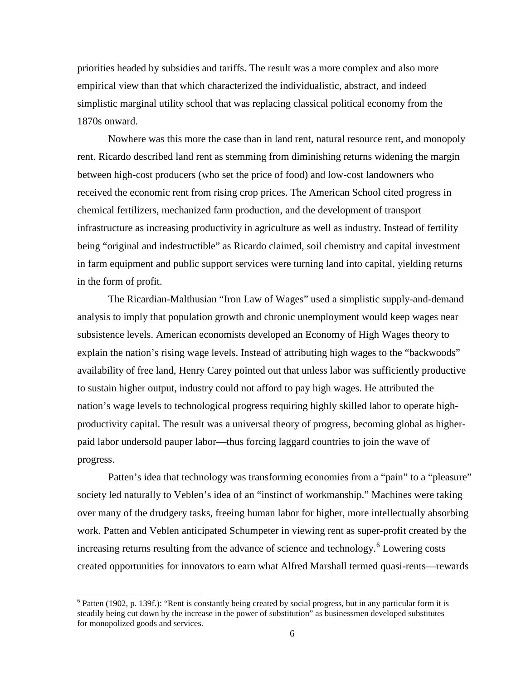priorities headed by subsidies and tariffs. The result was a more complex and also more empirical view than that which characterized the individualistic, abstract, and indeed simplistic marginal utility school that was replacing classical political economy from the 1870s onward.

Nowhere was this more the case than in land rent, natural resource rent, and monopoly rent. Ricardo described land rent as stemming from diminishing returns widening the margin between high-cost producers (who set the price of food) and low-cost landowners who received the economic rent from rising crop prices. The American School cited progress in chemical fertilizers, mechanized farm production, and the development of transport infrastructure as increasing productivity in agriculture as well as industry. Instead of fertility being "original and indestructible" as Ricardo claimed, soil chemistry and capital investment in farm equipment and public support services were turning land into capital, yielding returns in the form of profit.

The Ricardian-Malthusian "Iron Law of Wages" used a simplistic supply-and-demand analysis to imply that population growth and chronic unemployment would keep wages near subsistence levels. American economists developed an Economy of High Wages theory to explain the nation's rising wage levels. Instead of attributing high wages to the "backwoods" availability of free land, Henry Carey pointed out that unless labor was sufficiently productive to sustain higher output, industry could not afford to pay high wages. He attributed the nation's wage levels to technological progress requiring highly skilled labor to operate highproductivity capital. The result was a universal theory of progress, becoming global as higherpaid labor undersold pauper labor—thus forcing laggard countries to join the wave of progress.

Patten's idea that technology was transforming economies from a "pain" to a "pleasure" society led naturally to Veblen's idea of an "instinct of workmanship." Machines were taking over many of the drudgery tasks, freeing human labor for higher, more intellectually absorbing work. Patten and Veblen anticipated Schumpeter in viewing rent as super-profit created by the increasing returns resulting from the advance of science and technology.<sup>[6](#page-6-0)</sup> Lowering costs created opportunities for innovators to earn what Alfred Marshall termed quasi-rents—rewards

<span id="page-6-0"></span> $6$  Patten (1902, p. 139f.): "Rent is constantly being created by social progress, but in any particular form it is steadily being cut down by the increase in the power of substitution" as businessmen developed substitutes for monopolized goods and services.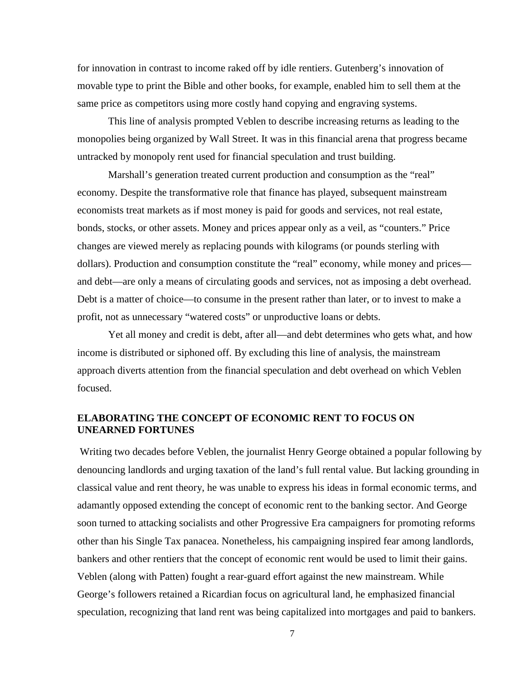for innovation in contrast to income raked off by idle rentier*s*. Gutenberg's innovation of movable type to print the Bible and other books, for example, enabled him to sell them at the same price as competitors using more costly hand copying and engraving systems.

This line of analysis prompted Veblen to describe increasing returns as leading to the monopolies being organized by Wall Street. It was in this financial arena that progress became untracked by monopoly rent used for financial speculation and trust building.

Marshall's generation treated current production and consumption as the "real" economy. Despite the transformative role that finance has played, subsequent mainstream economists treat markets as if most money is paid for goods and services, not real estate, bonds, stocks, or other assets. Money and prices appear only as a veil, as "counters." Price changes are viewed merely as replacing pounds with kilograms (or pounds sterling with dollars). Production and consumption constitute the "real" economy, while money and prices and debt—are only a means of circulating goods and services, not as imposing a debt overhead. Debt is a matter of choice—to consume in the present rather than later, or to invest to make a profit, not as unnecessary "watered costs" or unproductive loans or debts.

Yet all money and credit is debt, after all—and debt determines who gets what, and how income is distributed or siphoned off. By excluding this line of analysis, the mainstream approach diverts attention from the financial speculation and debt overhead on which Veblen focused.

### **ELABORATING THE CONCEPT OF ECONOMIC RENT TO FOCUS ON UNEARNED FORTUNES**

Writing two decades before Veblen, the journalist Henry George obtained a popular following by denouncing landlords and urging taxation of the land's full rental value. But lacking grounding in classical value and rent theory, he was unable to express his ideas in formal economic terms, and adamantly opposed extending the concept of economic rent to the banking sector. And George soon turned to attacking socialists and other Progressive Era campaigners for promoting reforms other than his Single Tax panacea. Nonetheless, his campaigning inspired fear among landlords, bankers and other rentier*s* that the concept of economic rent would be used to limit their gains. Veblen (along with Patten) fought a rear-guard effort against the new mainstream. While George's followers retained a Ricardian focus on agricultural land, he emphasized financial speculation, recognizing that land rent was being capitalized into mortgages and paid to bankers.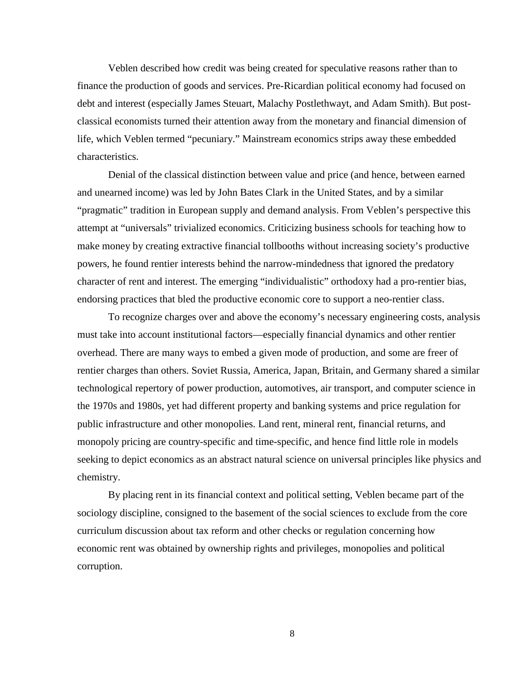Veblen described how credit was being created for speculative reasons rather than to finance the production of goods and services. Pre-Ricardian political economy had focused on debt and interest (especially James Steuart, Malachy Postlethwayt, and Adam Smith). But postclassical economists turned their attention away from the monetary and financial dimension of life, which Veblen termed "pecuniary." Mainstream economics strips away these embedded characteristics.

Denial of the classical distinction between value and price (and hence, between earned and unearned income) was led by John Bates Clark in the United States, and by a similar "pragmatic" tradition in European supply and demand analysis. From Veblen's perspective this attempt at "universals" trivialized economics. Criticizing business schools for teaching how to make money by creating extractive financial tollbooths without increasing society's productive powers, he found rentier interests behind the narrow-mindedness that ignored the predatory character of rent and interest. The emerging "individualistic" orthodoxy had a pro-rentier bias, endorsing practices that bled the productive economic core to support a neo-rentier class.

To recognize charges over and above the economy's necessary engineering costs, analysis must take into account institutional factors—especially financial dynamics and other rentier overhead. There are many ways to embed a given mode of production, and some are freer of rentier charges than others. Soviet Russia, America, Japan, Britain, and Germany shared a similar technological repertory of power production, automotives, air transport, and computer science in the 1970s and 1980s, yet had different property and banking systems and price regulation for public infrastructure and other monopolies. Land rent, mineral rent, financial returns, and monopoly pricing are country-specific and time-specific, and hence find little role in models seeking to depict economics as an abstract natural science on universal principles like physics and chemistry.

By placing rent in its financial context and political setting, Veblen became part of the sociology discipline, consigned to the basement of the social sciences to exclude from the core curriculum discussion about tax reform and other checks or regulation concerning how economic rent was obtained by ownership rights and privileges, monopolies and political corruption.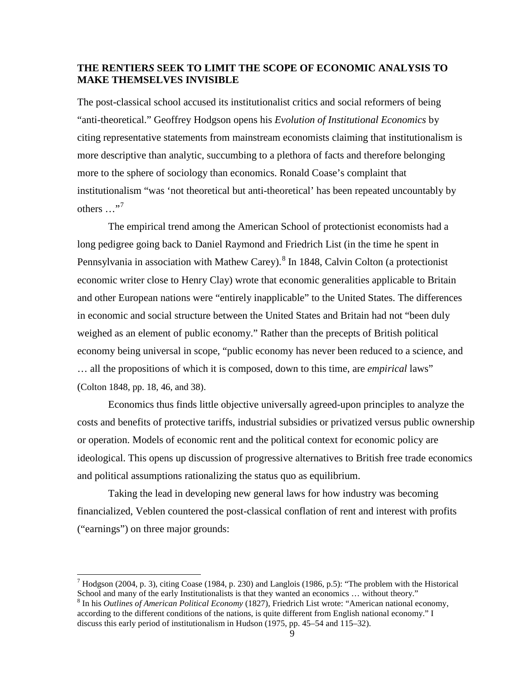### **THE RENTIER***S* **SEEK TO LIMIT THE SCOPE OF ECONOMIC ANALYSIS TO MAKE THEMSELVES INVISIBLE**

The post-classical school accused its institutionalist critics and social reformers of being "anti-theoretical." Geoffrey Hodgson opens his *Evolution of Institutional Economics* by citing representative statements from mainstream economists claiming that institutionalism is more descriptive than analytic, succumbing to a plethora of facts and therefore belonging more to the sphere of sociology than economics. Ronald Coase's complaint that institutionalism "was 'not theoretical but anti-theoretical' has been repeated uncountably by others  $\ldots$ <sup>[7](#page-9-0)</sup>

The empirical trend among the American School of protectionist economists had a long pedigree going back to Daniel Raymond and Friedrich List (in the time he spent in Pennsylvania in association with Mathew Carey).<sup>[8](#page-9-1)</sup> In 1848, Calvin Colton (a protectionist economic writer close to Henry Clay) wrote that economic generalities applicable to Britain and other European nations were "entirely inapplicable" to the United States. The differences in economic and social structure between the United States and Britain had not "been duly weighed as an element of public economy." Rather than the precepts of British political economy being universal in scope, "public economy has never been reduced to a science, and … all the propositions of which it is composed, down to this time, are *empirical* laws" (Colton 1848, pp. 18, 46, and 38).

Economics thus finds little objective universally agreed-upon principles to analyze the costs and benefits of protective tariffs, industrial subsidies or privatized versus public ownership or operation. Models of economic rent and the political context for economic policy are ideological. This opens up discussion of progressive alternatives to British free trade economics and political assumptions rationalizing the status quo as equilibrium.

Taking the lead in developing new general laws for how industry was becoming financialized, Veblen countered the post-classical conflation of rent and interest with profits ("earnings") on three major grounds:

<span id="page-9-0"></span><sup>&</sup>lt;sup>7</sup> Hodgson (2004, p. 3), citing Coase (1984, p. 230) and Langlois (1986, p.5): "The problem with the Historical School and many of the early Institutionalists is that they wanted an economics ... without theory."

<span id="page-9-1"></span><sup>8</sup> In his *Outlines of American Political Economy* (1827), Friedrich List wrote: "American national economy, according to the different conditions of the nations, is quite different from English national economy." I discuss this early period of institutionalism in Hudson (1975, pp. 45–54 and 115–32).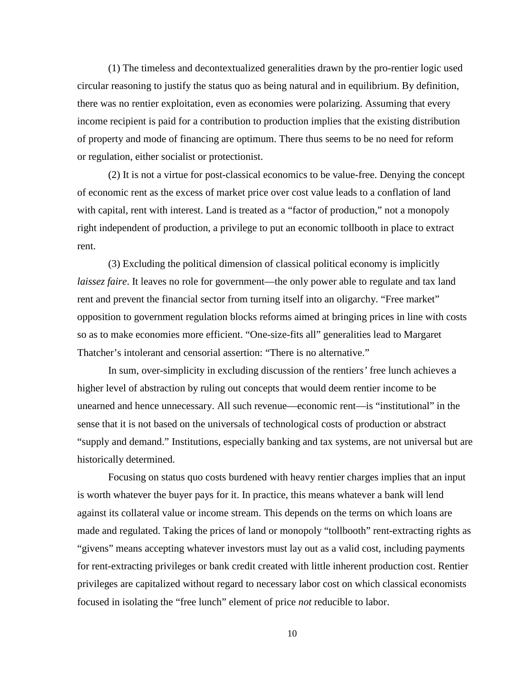(1) The timeless and decontextualized generalities drawn by the pro-rentier logic used circular reasoning to justify the status quo as being natural and in equilibrium. By definition, there was no rentier exploitation, even as economies were polarizing. Assuming that every income recipient is paid for a contribution to production implies that the existing distribution of property and mode of financing are optimum. There thus seems to be no need for reform or regulation, either socialist or protectionist.

(2) It is not a virtue for post-classical economics to be value-free. Denying the concept of economic rent as the excess of market price over cost value leads to a conflation of land with capital, rent with interest. Land is treated as a "factor of production," not a monopoly right independent of production, a privilege to put an economic tollbooth in place to extract rent.

(3) Excluding the political dimension of classical political economy is implicitly *laissez faire*. It leaves no role for government—the only power able to regulate and tax land rent and prevent the financial sector from turning itself into an oligarchy. "Free market" opposition to government regulation blocks reforms aimed at bringing prices in line with costs so as to make economies more efficient. "One-size-fits all" generalities lead to Margaret Thatcher's intolerant and censorial assertion: "There is no alternative."

In sum, over-simplicity in excluding discussion of the rentier*s'* free lunch achieves a higher level of abstraction by ruling out concepts that would deem rentier income to be unearned and hence unnecessary. All such revenue—economic rent—is "institutional" in the sense that it is not based on the universals of technological costs of production or abstract "supply and demand." Institutions, especially banking and tax systems, are not universal but are historically determined.

Focusing on status quo costs burdened with heavy rentier charges implies that an input is worth whatever the buyer pays for it. In practice, this means whatever a bank will lend against its collateral value or income stream. This depends on the terms on which loans are made and regulated. Taking the prices of land or monopoly "tollbooth" rent-extracting rights as "givens" means accepting whatever investors must lay out as a valid cost, including payments for rent-extracting privileges or bank credit created with little inherent production cost. Rentier privileges are capitalized without regard to necessary labor cost on which classical economists focused in isolating the "free lunch" element of price *not* reducible to labor.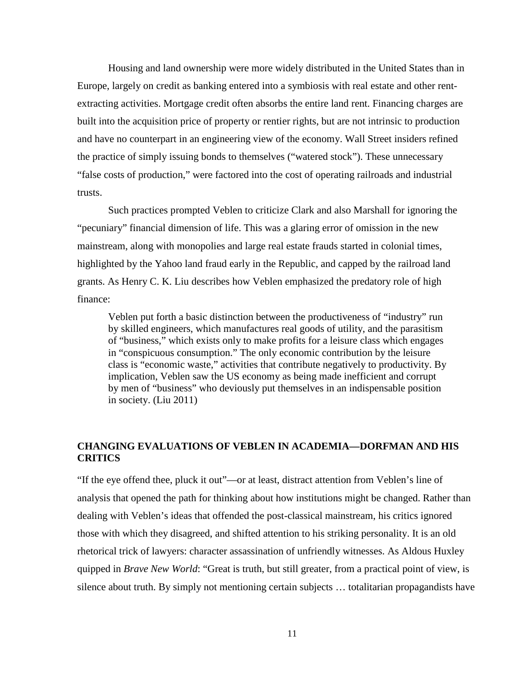Housing and land ownership were more widely distributed in the United States than in Europe, largely on credit as banking entered into a symbiosis with real estate and other rentextracting activities. Mortgage credit often absorbs the entire land rent. Financing charges are built into the acquisition price of property or rentier rights, but are not intrinsic to production and have no counterpart in an engineering view of the economy. Wall Street insiders refined the practice of simply issuing bonds to themselves ("watered stock"). These unnecessary "false costs of production," were factored into the cost of operating railroads and industrial trusts.

Such practices prompted Veblen to criticize Clark and also Marshall for ignoring the "pecuniary" financial dimension of life. This was a glaring error of omission in the new mainstream, along with monopolies and large real estate frauds started in colonial times, highlighted by the Yahoo land fraud early in the Republic, and capped by the railroad land grants. As Henry C. K. Liu describes how Veblen emphasized the predatory role of high finance:

Veblen put forth a basic distinction between the productiveness of "industry" run by skilled engineers, which manufactures real goods of utility, and the parasitism of "business," which exists only to make profits for a leisure class which engages in "conspicuous consumption." The only economic contribution by the leisure class is "economic waste," activities that contribute negatively to productivity. By implication, Veblen saw the US economy as being made inefficient and corrupt by men of "business" who deviously put themselves in an indispensable position in society. (Liu 2011)

## **CHANGING EVALUATIONS OF VEBLEN IN ACADEMIA—DORFMAN AND HIS CRITICS**

"If the eye offend thee, pluck it out"—or at least, distract attention from Veblen's line of analysis that opened the path for thinking about how institutions might be changed. Rather than dealing with Veblen's ideas that offended the post-classical mainstream, his critics ignored those with which they disagreed, and shifted attention to his striking personality. It is an old rhetorical trick of lawyers: character assassination of unfriendly witnesses. As Aldous Huxley quipped in *Brave New World*: "Great is truth, but still greater, from a practical point of view, is silence about truth. By simply not mentioning certain subjects … totalitarian propagandists have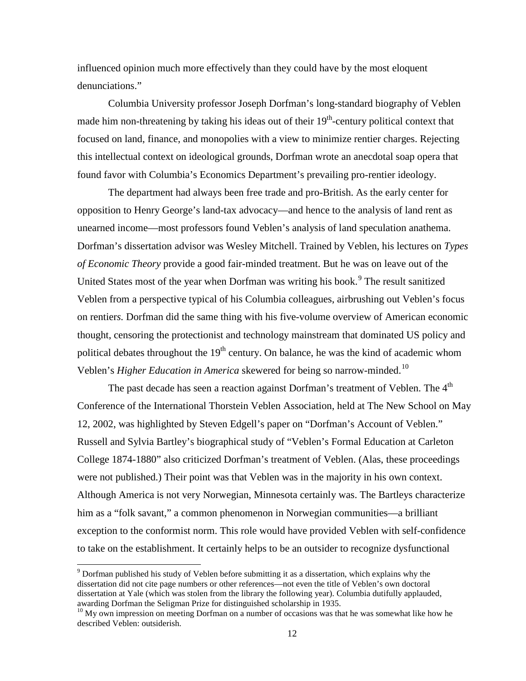influenced opinion much more effectively than they could have by the most eloquent denunciations."

Columbia University professor Joseph Dorfman's long-standard biography of Veblen made him non-threatening by taking his ideas out of their  $19<sup>th</sup>$ -century political context that focused on land, finance, and monopolies with a view to minimize rentier charges. Rejecting this intellectual context on ideological grounds, Dorfman wrote an anecdotal soap opera that found favor with Columbia's Economics Department's prevailing pro-rentier ideology.

The department had always been free trade and pro-British. As the early center for opposition to Henry George's land-tax advocacy—and hence to the analysis of land rent as unearned income—most professors found Veblen's analysis of land speculation anathema. Dorfman's dissertation advisor was Wesley Mitchell. Trained by Veblen, his lectures on *Types of Economic Theory* provide a good fair-minded treatment. But he was on leave out of the United States most of the year when Dorfman was writing his book.<sup>[9](#page-12-0)</sup> The result sanitized Veblen from a perspective typical of his Columbia colleagues, airbrushing out Veblen's focus on rentier*s.* Dorfman did the same thing with his five-volume overview of American economic thought, censoring the protectionist and technology mainstream that dominated US policy and political debates throughout the  $19<sup>th</sup>$  century. On balance, he was the kind of academic whom Veblen's *Higher Education in America* skewered for being so narrow-minded.<sup>[10](#page-12-1)</sup>

The past decade has seen a reaction against Dorfman's treatment of Veblen. The  $4<sup>th</sup>$ Conference of the International Thorstein Veblen Association, held at The New School on May 12, 2002, was highlighted by Steven Edgell's paper on "Dorfman's Account of Veblen." Russell and Sylvia Bartley's biographical study of "Veblen's Formal Education at Carleton College 1874-1880" also criticized Dorfman's treatment of Veblen. (Alas, these proceedings were not published.) Their point was that Veblen was in the majority in his own context. Although America is not very Norwegian, Minnesota certainly was. The Bartleys characterize him as a "folk savant," a common phenomenon in Norwegian communities—a brilliant exception to the conformist norm. This role would have provided Veblen with self-confidence to take on the establishment. It certainly helps to be an outsider to recognize dysfunctional

<span id="page-12-0"></span> <sup>9</sup> Dorfman published his study of Veblen before submitting it as a dissertation, which explains why the dissertation did not cite page numbers or other references—not even the title of Veblen's own doctoral dissertation at Yale (which was stolen from the library the following year). Columbia dutifully applauded, awarding Dorfman the Seligman Prize for distinguished scholarship in 1935.

<span id="page-12-1"></span> $10$  My own impression on meeting Dorfman on a number of occasions was that he was somewhat like how he described Veblen: outsiderish.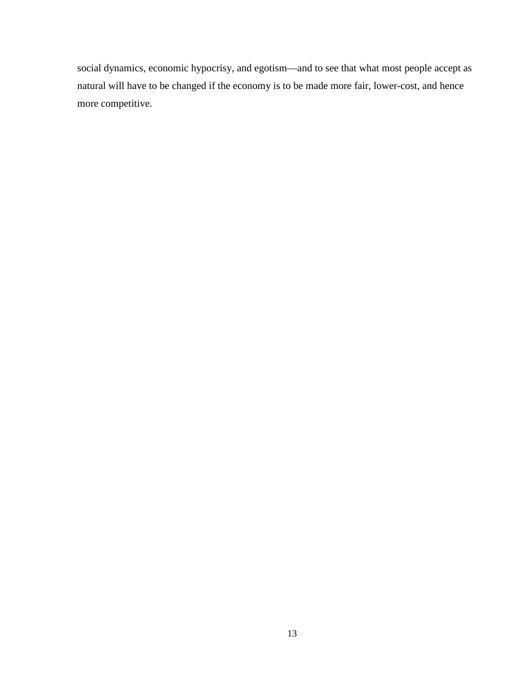social dynamics, economic hypocrisy, and egotism—and to see that what most people accept as natural will have to be changed if the economy is to be made more fair, lower-cost, and hence more competitive.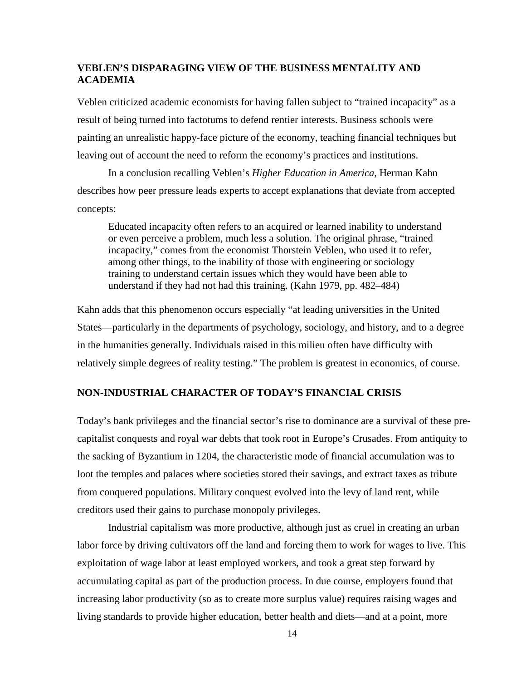## **VEBLEN'S DISPARAGING VIEW OF THE BUSINESS MENTALITY AND ACADEMIA**

Veblen criticized academic economists for having fallen subject to "trained incapacity" as a result of being turned into factotums to defend rentier interests. Business schools were painting an unrealistic happy-face picture of the economy, teaching financial techniques but leaving out of account the need to reform the economy's practices and institutions.

In a conclusion recalling Veblen's *Higher Education in America*, Herman Kahn describes how peer pressure leads experts to accept explanations that deviate from accepted concepts:

Educated incapacity often refers to an acquired or learned inability to understand or even perceive a problem, much less a solution. The original phrase, "trained incapacity," comes from the economist Thorstein Veblen, who used it to refer, among other things, to the inability of those with engineering or sociology training to understand certain issues which they would have been able to understand if they had not had this training. (Kahn 1979, pp. 482–484)

Kahn adds that this phenomenon occurs especially "at leading universities in the United States—particularly in the departments of psychology, sociology, and history, and to a degree in the humanities generally. Individuals raised in this milieu often have difficulty with relatively simple degrees of reality testing." The problem is greatest in economics, of course.

### **NON-INDUSTRIAL CHARACTER OF TODAY'S FINANCIAL CRISIS**

Today's bank privileges and the financial sector's rise to dominance are a survival of these precapitalist conquests and royal war debts that took root in Europe's Crusades. From antiquity to the sacking of Byzantium in 1204, the characteristic mode of financial accumulation was to loot the temples and palaces where societies stored their savings, and extract taxes as tribute from conquered populations. Military conquest evolved into the levy of land rent, while creditors used their gains to purchase monopoly privileges.

Industrial capitalism was more productive, although just as cruel in creating an urban labor force by driving cultivators off the land and forcing them to work for wages to live. This exploitation of wage labor at least employed workers, and took a great step forward by accumulating capital as part of the production process. In due course, employers found that increasing labor productivity (so as to create more surplus value) requires raising wages and living standards to provide higher education, better health and diets—and at a point, more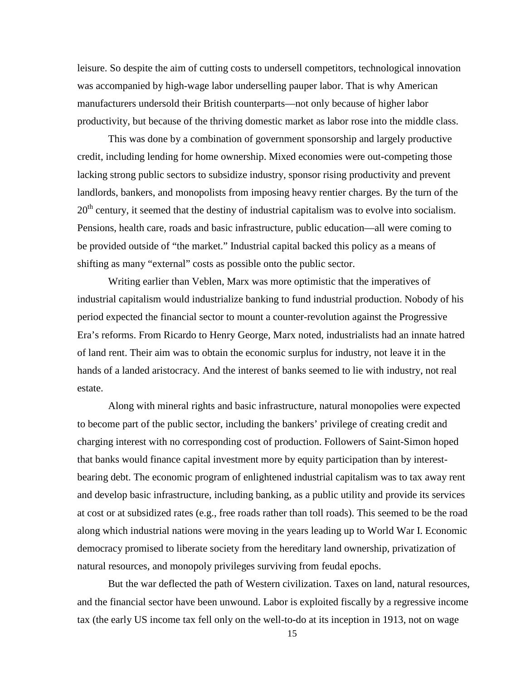leisure. So despite the aim of cutting costs to undersell competitors, technological innovation was accompanied by high-wage labor underselling pauper labor. That is why American manufacturers undersold their British counterparts—not only because of higher labor productivity, but because of the thriving domestic market as labor rose into the middle class.

This was done by a combination of government sponsorship and largely productive credit, including lending for home ownership. Mixed economies were out-competing those lacking strong public sectors to subsidize industry, sponsor rising productivity and prevent landlords, bankers, and monopolists from imposing heavy rentier charges. By the turn of the  $20<sup>th</sup>$  century, it seemed that the destiny of industrial capitalism was to evolve into socialism. Pensions, health care, roads and basic infrastructure, public education—all were coming to be provided outside of "the market." Industrial capital backed this policy as a means of shifting as many "external" costs as possible onto the public sector.

Writing earlier than Veblen, Marx was more optimistic that the imperatives of industrial capitalism would industrialize banking to fund industrial production. Nobody of his period expected the financial sector to mount a counter-revolution against the Progressive Era's reforms. From Ricardo to Henry George, Marx noted, industrialists had an innate hatred of land rent. Their aim was to obtain the economic surplus for industry, not leave it in the hands of a landed aristocracy. And the interest of banks seemed to lie with industry, not real estate.

Along with mineral rights and basic infrastructure, natural monopolies were expected to become part of the public sector, including the bankers' privilege of creating credit and charging interest with no corresponding cost of production. Followers of Saint-Simon hoped that banks would finance capital investment more by equity participation than by interestbearing debt. The economic program of enlightened industrial capitalism was to tax away rent and develop basic infrastructure, including banking, as a public utility and provide its services at cost or at subsidized rates (e.g., free roads rather than toll roads). This seemed to be the road along which industrial nations were moving in the years leading up to World War I. Economic democracy promised to liberate society from the hereditary land ownership, privatization of natural resources, and monopoly privileges surviving from feudal epochs.

But the war deflected the path of Western civilization. Taxes on land, natural resources, and the financial sector have been unwound. Labor is exploited fiscally by a regressive income tax (the early US income tax fell only on the well-to-do at its inception in 1913, not on wage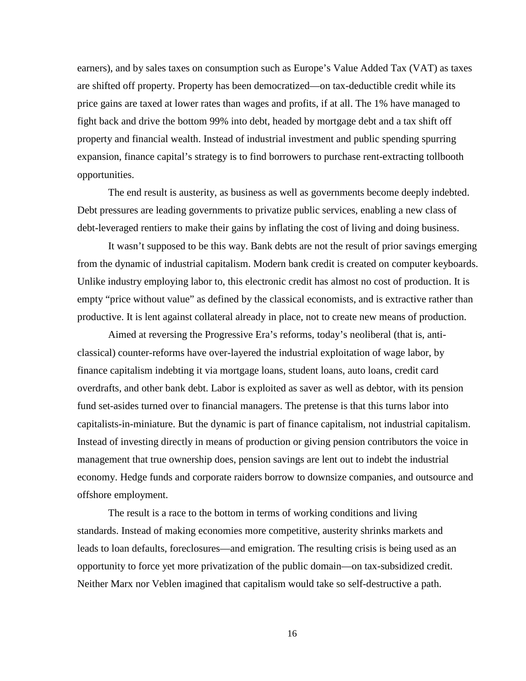earners), and by sales taxes on consumption such as Europe's Value Added Tax (VAT) as taxes are shifted off property. Property has been democratized—on tax-deductible credit while its price gains are taxed at lower rates than wages and profits, if at all. The 1% have managed to fight back and drive the bottom 99% into debt, headed by mortgage debt and a tax shift off property and financial wealth. Instead of industrial investment and public spending spurring expansion, finance capital's strategy is to find borrowers to purchase rent-extracting tollbooth opportunities.

The end result is austerity, as business as well as governments become deeply indebted. Debt pressures are leading governments to privatize public services, enabling a new class of debt-leveraged rentier*s* to make their gains by inflating the cost of living and doing business.

It wasn't supposed to be this way. Bank debts are not the result of prior savings emerging from the dynamic of industrial capitalism. Modern bank credit is created on computer keyboards. Unlike industry employing labor to, this electronic credit has almost no cost of production. It is empty "price without value" as defined by the classical economists, and is extractive rather than productive. It is lent against collateral already in place, not to create new means of production.

Aimed at reversing the Progressive Era's reforms, today's neoliberal (that is, anticlassical) counter-reforms have over-layered the industrial exploitation of wage labor, by finance capitalism indebting it via mortgage loans, student loans, auto loans, credit card overdrafts, and other bank debt. Labor is exploited as saver as well as debtor, with its pension fund set-asides turned over to financial managers. The pretense is that this turns labor into capitalists-in-miniature. But the dynamic is part of finance capitalism, not industrial capitalism. Instead of investing directly in means of production or giving pension contributors the voice in management that true ownership does, pension savings are lent out to indebt the industrial economy. Hedge funds and corporate raiders borrow to downsize companies, and outsource and offshore employment.

The result is a race to the bottom in terms of working conditions and living standards. Instead of making economies more competitive, austerity shrinks markets and leads to loan defaults, foreclosures—and emigration. The resulting crisis is being used as an opportunity to force yet more privatization of the public domain—on tax-subsidized credit. Neither Marx nor Veblen imagined that capitalism would take so self-destructive a path.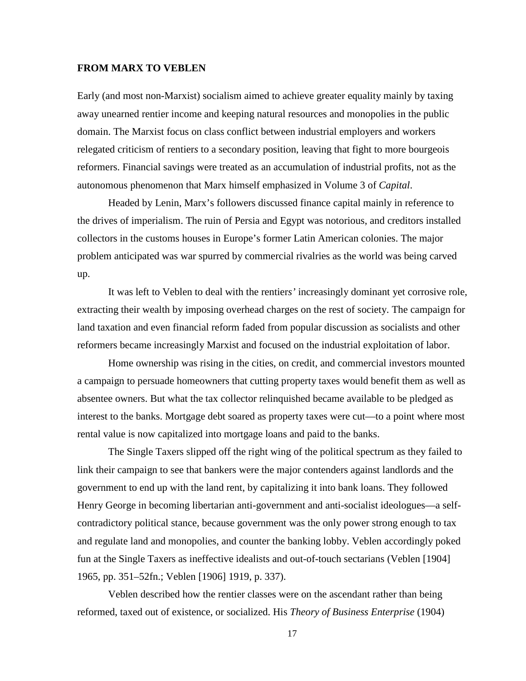#### **FROM MARX TO VEBLEN**

Early (and most non-Marxist) socialism aimed to achieve greater equality mainly by taxing away unearned rentier income and keeping natural resources and monopolies in the public domain. The Marxist focus on class conflict between industrial employers and workers relegated criticism of rentier*s* to a secondary position, leaving that fight to more bourgeois reformers. Financial savings were treated as an accumulation of industrial profits, not as the autonomous phenomenon that Marx himself emphasized in Volume 3 of *Capital*.

Headed by Lenin, Marx's followers discussed finance capital mainly in reference to the drives of imperialism. The ruin of Persia and Egypt was notorious, and creditors installed collectors in the customs houses in Europe's former Latin American colonies. The major problem anticipated was war spurred by commercial rivalries as the world was being carved up.

It was left to Veblen to deal with the rentier*s'* increasingly dominant yet corrosive role, extracting their wealth by imposing overhead charges on the rest of society. The campaign for land taxation and even financial reform faded from popular discussion as socialists and other reformers became increasingly Marxist and focused on the industrial exploitation of labor.

Home ownership was rising in the cities, on credit, and commercial investors mounted a campaign to persuade homeowners that cutting property taxes would benefit them as well as absentee owners. But what the tax collector relinquished became available to be pledged as interest to the banks. Mortgage debt soared as property taxes were cut—to a point where most rental value is now capitalized into mortgage loans and paid to the banks.

The Single Taxers slipped off the right wing of the political spectrum as they failed to link their campaign to see that bankers were the major contenders against landlords and the government to end up with the land rent, by capitalizing it into bank loans. They followed Henry George in becoming libertarian anti-government and anti-socialist ideologues—a selfcontradictory political stance, because government was the only power strong enough to tax and regulate land and monopolies, and counter the banking lobby. Veblen accordingly poked fun at the Single Taxers as ineffective idealists and out-of-touch sectarians (Veblen [1904] 1965, pp. 351–52fn.; Veblen [1906] 1919, p. 337).

Veblen described how the rentier classes were on the ascendant rather than being reformed, taxed out of existence, or socialized. His *Theory of Business Enterprise* (1904)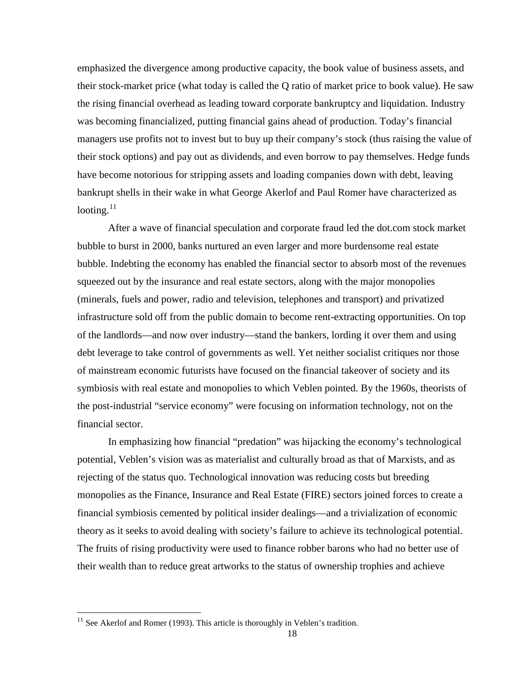emphasized the divergence among productive capacity, the book value of business assets, and their stock-market price (what today is called the Q ratio of market price to book value). He saw the rising financial overhead as leading toward corporate bankruptcy and liquidation. Industry was becoming financialized, putting financial gains ahead of production. Today's financial managers use profits not to invest but to buy up their company's stock (thus raising the value of their stock options) and pay out as dividends, and even borrow to pay themselves. Hedge funds have become notorious for stripping assets and loading companies down with debt, leaving bankrupt shells in their wake in what George Akerlof and Paul Romer have characterized as looting. $11$ 

After a wave of financial speculation and corporate fraud led the dot.com stock market bubble to burst in 2000, banks nurtured an even larger and more burdensome real estate bubble. Indebting the economy has enabled the financial sector to absorb most of the revenues squeezed out by the insurance and real estate sectors, along with the major monopolies (minerals, fuels and power, radio and television, telephones and transport) and privatized infrastructure sold off from the public domain to become rent-extracting opportunities. On top of the landlords—and now over industry—stand the bankers, lording it over them and using debt leverage to take control of governments as well. Yet neither socialist critiques nor those of mainstream economic futurists have focused on the financial takeover of society and its symbiosis with real estate and monopolies to which Veblen pointed. By the 1960s, theorists of the post-industrial "service economy" were focusing on information technology, not on the financial sector.

In emphasizing how financial "predation" was hijacking the economy's technological potential, Veblen's vision was as materialist and culturally broad as that of Marxists, and as rejecting of the status quo. Technological innovation was reducing costs but breeding monopolies as the Finance, Insurance and Real Estate (FIRE) sectors joined forces to create a financial symbiosis cemented by political insider dealings—and a trivialization of economic theory as it seeks to avoid dealing with society's failure to achieve its technological potential. The fruits of rising productivity were used to finance robber barons who had no better use of their wealth than to reduce great artworks to the status of ownership trophies and achieve

<span id="page-18-0"></span> $11$  See Akerlof and Romer (1993). This article is thoroughly in Veblen's tradition.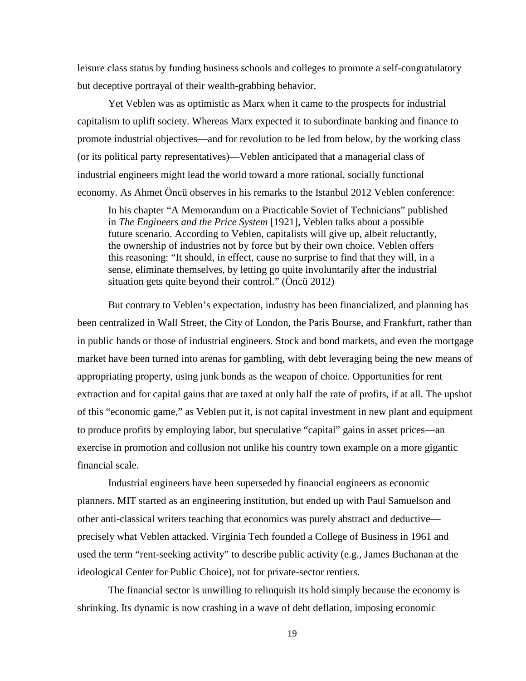leisure class status by funding business schools and colleges to promote a self-congratulatory but deceptive portrayal of their wealth-grabbing behavior.

Yet Veblen was as optimistic as Marx when it came to the prospects for industrial capitalism to uplift society. Whereas Marx expected it to subordinate banking and finance to promote industrial objectives—and for revolution to be led from below, by the working class (or its political party representatives)—Veblen anticipated that a managerial class of industrial engineers might lead the world toward a more rational, socially functional economy. As Ahmet Öncü observes in his remarks to the Istanbul 2012 Veblen conference:

In his chapter "A Memorandum on a Practicable Soviet of Technicians" published in *The Engineers and the Price System* [1921], Veblen talks about a possible future scenario. According to Veblen, capitalists will give up, albeit reluctantly, the ownership of industries not by force but by their own choice. Veblen offers this reasoning: "It should, in effect, cause no surprise to find that they will, in a sense, eliminate themselves, by letting go quite involuntarily after the industrial situation gets quite beyond their control." (Öncü 2012)

But contrary to Veblen's expectation, industry has been financialized, and planning has been centralized in Wall Street, the City of London, the Paris Bourse, and Frankfurt, rather than in public hands or those of industrial engineers. Stock and bond markets, and even the mortgage market have been turned into arenas for gambling, with debt leveraging being the new means of appropriating property, using junk bonds as the weapon of choice. Opportunities for rent extraction and for capital gains that are taxed at only half the rate of profits, if at all. The upshot of this "economic game," as Veblen put it, is not capital investment in new plant and equipment to produce profits by employing labor, but speculative "capital" gains in asset prices—an exercise in promotion and collusion not unlike his country town example on a more gigantic financial scale.

Industrial engineers have been superseded by financial engineers as economic planners. MIT started as an engineering institution, but ended up with Paul Samuelson and other anti-classical writers teaching that economics was purely abstract and deductive precisely what Veblen attacked. Virginia Tech founded a College of Business in 1961 and used the term "rent-seeking activity" to describe public activity (e.g., James Buchanan at the ideological Center for Public Choice), not for private-sector rentier*s*.

The financial sector is unwilling to relinquish its hold simply because the economy is shrinking. Its dynamic is now crashing in a wave of debt deflation, imposing economic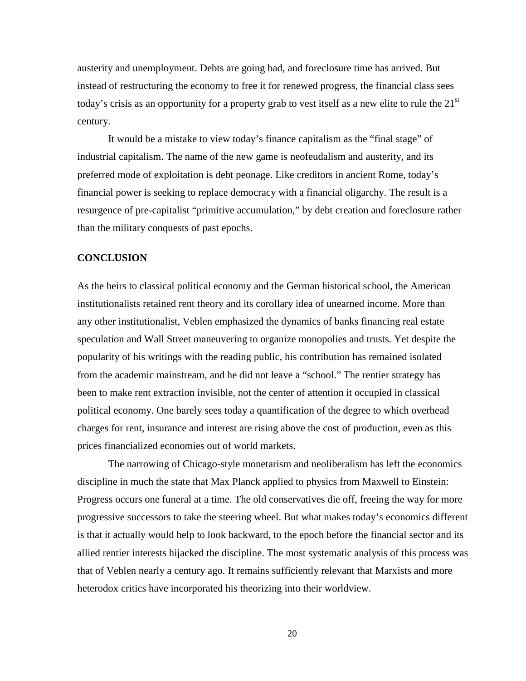austerity and unemployment. Debts are going bad, and foreclosure time has arrived. But instead of restructuring the economy to free it for renewed progress, the financial class sees today's crisis as an opportunity for a property grab to vest itself as a new elite to rule the  $21<sup>st</sup>$ century.

It would be a mistake to view today's finance capitalism as the "final stage" of industrial capitalism. The name of the new game is neofeudalism and austerity, and its preferred mode of exploitation is debt peonage. Like creditors in ancient Rome, today's financial power is seeking to replace democracy with a financial oligarchy. The result is a resurgence of pre-capitalist "primitive accumulation," by debt creation and foreclosure rather than the military conquests of past epochs.

#### **CONCLUSION**

As the heirs to classical political economy and the German historical school, the American institutionalists retained rent theory and its corollary idea of unearned income. More than any other institutionalist, Veblen emphasized the dynamics of banks financing real estate speculation and Wall Street maneuvering to organize monopolies and trusts. Yet despite the popularity of his writings with the reading public, his contribution has remained isolated from the academic mainstream, and he did not leave a "school." The rentier strategy has been to make rent extraction invisible, not the center of attention it occupied in classical political economy. One barely sees today a quantification of the degree to which overhead charges for rent, insurance and interest are rising above the cost of production, even as this prices financialized economies out of world markets.

The narrowing of Chicago-style monetarism and neoliberalism has left the economics discipline in much the state that Max Planck applied to physics from Maxwell to Einstein: Progress occurs one funeral at a time. The old conservatives die off, freeing the way for more progressive successors to take the steering wheel. But what makes today's economics different is that it actually would help to look backward, to the epoch before the financial sector and its allied rentier interests hijacked the discipline. The most systematic analysis of this process was that of Veblen nearly a century ago. It remains sufficiently relevant that Marxists and more heterodox critics have incorporated his theorizing into their worldview.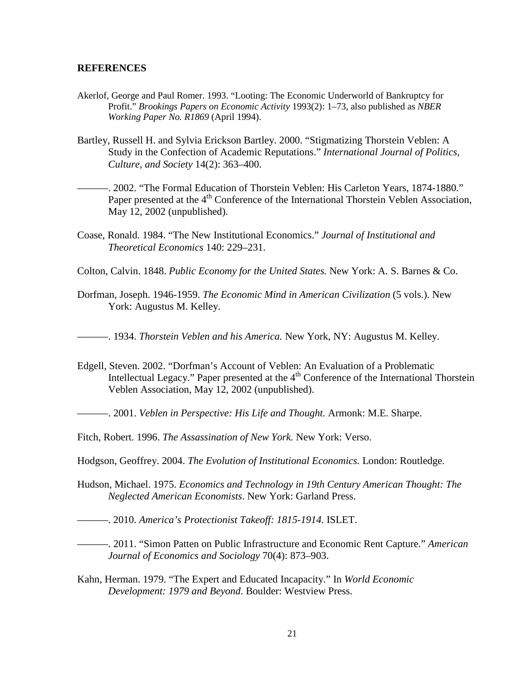#### **REFERENCES**

- Akerlof, George and Paul Romer. 1993. "Looting: The Economic Underworld of Bankruptcy for Profit." *Brookings Papers on Economic Activity* 1993(2): 1–73, also published as *NBER Working Paper No. R1869* (April 1994).
- Bartley, Russell H. and Sylvia Erickson Bartley. 2000. "Stigmatizing Thorstein Veblen: A Study in the Confection of Academic Reputations." *International Journal of Politics, Culture, and Society* 14(2): 363–400.
- ———. 2002. "The Formal Education of Thorstein Veblen: His Carleton Years, 1874-1880." Paper presented at the 4<sup>th</sup> Conference of the International Thorstein Veblen Association, May 12, 2002 (unpublished).
- Coase, Ronald. 1984. "The New Institutional Economics." *Journal of Institutional and Theoretical Economics* 140: 229–231.
- Colton, Calvin. 1848. *Public Economy for the United States.* New York: A. S. Barnes & Co.
- Dorfman, Joseph. 1946-1959. *The Economic Mind in American Civilization* (5 vols.). New York: Augustus M. Kelley.

———. 1934. *Thorstein Veblen and his America.* New York, NY: Augustus M. Kelley.

Edgell, Steven. 2002. "Dorfman's Account of Veblen: An Evaluation of a Problematic Intellectual Legacy." Paper presented at the  $4<sup>th</sup>$  Conference of the International Thorstein Veblen Association, May 12, 2002 (unpublished).

———. 2001. *Veblen in Perspective: His Life and Thought.* Armonk: M.E. Sharpe.

Fitch, Robert. 1996. *The Assassination of New York.* New York: Verso.

Hodgson, Geoffrey. 2004. *The Evolution of Institutional Economics.* London: Routledge.

Hudson, Michael. 1975. *Economics and Technology in 19th Century American Thought: The Neglected American Economists*. New York: Garland Press.

———. 2010. *America's Protectionist Takeoff: 1815-1914.* ISLET.

- ———. 2011. "Simon Patten on Public Infrastructure and Economic Rent Capture." *American Journal of Economics and Sociology* 70(4): 873–903.
- Kahn, Herman. 1979. "The Expert and Educated Incapacity." In *World Economic Development: 1979 and Beyond*. Boulder: Westview Press.